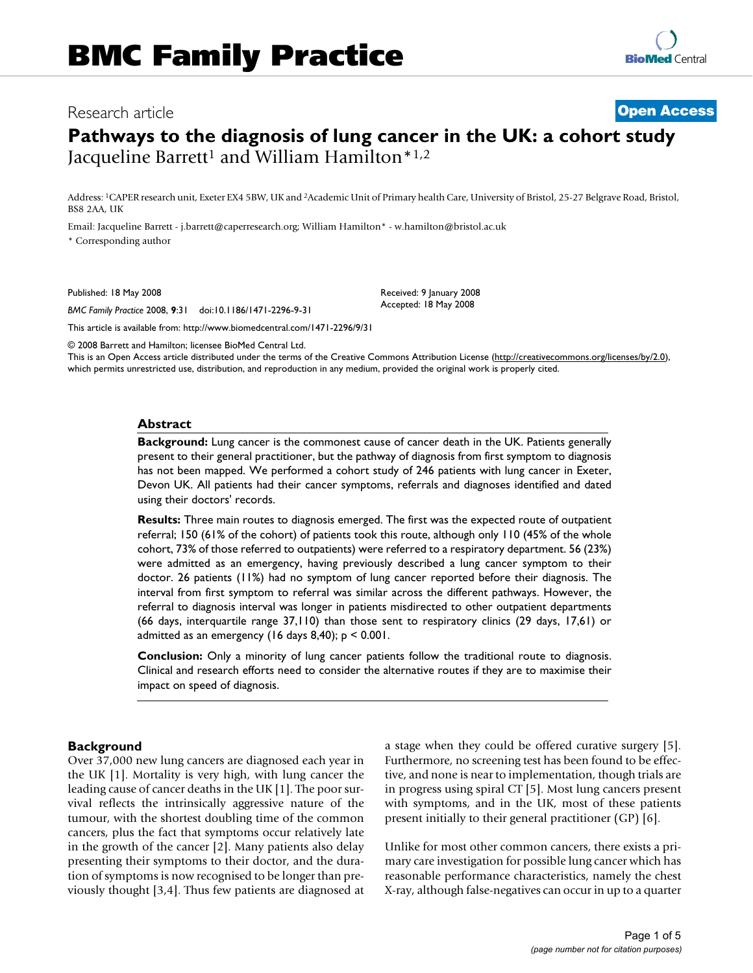# Research article **[Open Access](http://www.biomedcentral.com/info/about/charter/)**

# **Pathways to the diagnosis of lung cancer in the UK: a cohort study** Jacqueline Barrett<sup>1</sup> and William Hamilton\*<sup>1,2</sup>

Address: 1CAPER research unit, Exeter EX4 5BW, UK and 2Academic Unit of Primary health Care, University of Bristol, 25-27 Belgrave Road, Bristol, BS8 2AA, UK

> Received: 9 January 2008 Accepted: 18 May 2008

Email: Jacqueline Barrett - j.barrett@caperresearch.org; William Hamilton\* - w.hamilton@bristol.ac.uk \* Corresponding author

Published: 18 May 2008

*BMC Family Practice* 2008, **9**:31 doi:10.1186/1471-2296-9-31

[This article is available from: http://www.biomedcentral.com/1471-2296/9/31](http://www.biomedcentral.com/1471-2296/9/31)

© 2008 Barrett and Hamilton; licensee BioMed Central Ltd.

This is an Open Access article distributed under the terms of the Creative Commons Attribution License [\(http://creativecommons.org/licenses/by/2.0\)](http://creativecommons.org/licenses/by/2.0), which permits unrestricted use, distribution, and reproduction in any medium, provided the original work is properly cited.

#### **Abstract**

**Background:** Lung cancer is the commonest cause of cancer death in the UK. Patients generally present to their general practitioner, but the pathway of diagnosis from first symptom to diagnosis has not been mapped. We performed a cohort study of 246 patients with lung cancer in Exeter, Devon UK. All patients had their cancer symptoms, referrals and diagnoses identified and dated using their doctors' records.

**Results:** Three main routes to diagnosis emerged. The first was the expected route of outpatient referral; 150 (61% of the cohort) of patients took this route, although only 110 (45% of the whole cohort, 73% of those referred to outpatients) were referred to a respiratory department. 56 (23%) were admitted as an emergency, having previously described a lung cancer symptom to their doctor. 26 patients (11%) had no symptom of lung cancer reported before their diagnosis. The interval from first symptom to referral was similar across the different pathways. However, the referral to diagnosis interval was longer in patients misdirected to other outpatient departments (66 days, interquartile range 37,110) than those sent to respiratory clinics (29 days, 17,61) or admitted as an emergency (16 days 8,40); p < 0.001.

**Conclusion:** Only a minority of lung cancer patients follow the traditional route to diagnosis. Clinical and research efforts need to consider the alternative routes if they are to maximise their impact on speed of diagnosis.

## **Background**

Over 37,000 new lung cancers are diagnosed each year in the UK [1]. Mortality is very high, with lung cancer the leading cause of cancer deaths in the UK [1]. The poor survival reflects the intrinsically aggressive nature of the tumour, with the shortest doubling time of the common cancers, plus the fact that symptoms occur relatively late in the growth of the cancer [2]. Many patients also delay presenting their symptoms to their doctor, and the duration of symptoms is now recognised to be longer than previously thought [3,4]. Thus few patients are diagnosed at a stage when they could be offered curative surgery [5]. Furthermore, no screening test has been found to be effective, and none is near to implementation, though trials are in progress using spiral CT [5]. Most lung cancers present with symptoms, and in the UK, most of these patients present initially to their general practitioner (GP) [6].

Unlike for most other common cancers, there exists a primary care investigation for possible lung cancer which has reasonable performance characteristics, namely the chest X-ray, although false-negatives can occur in up to a quarter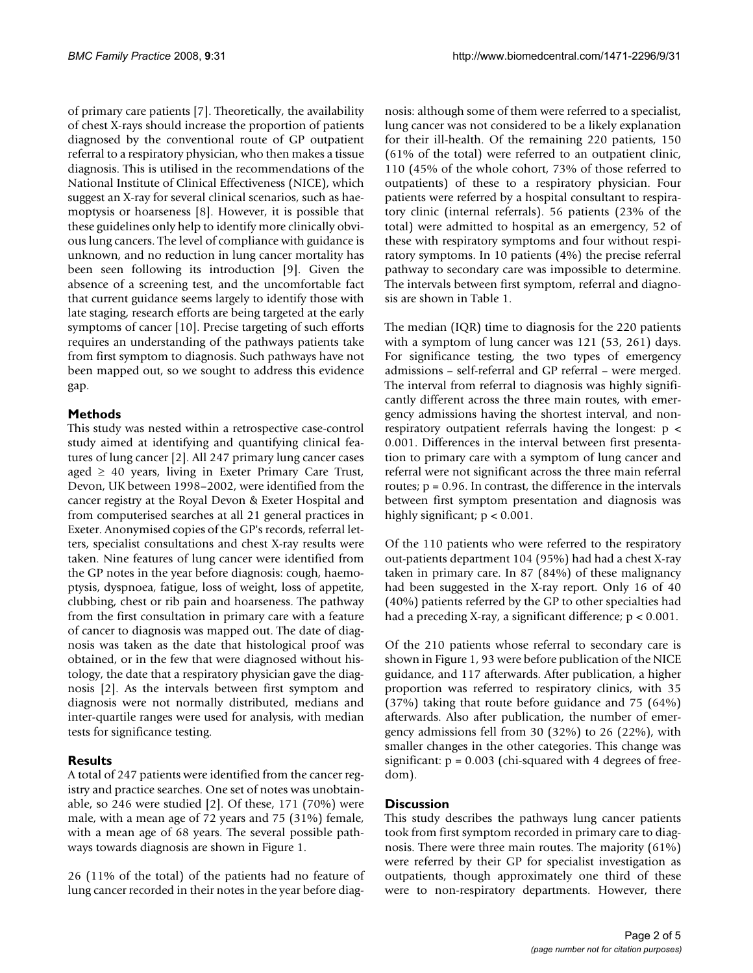of primary care patients [7]. Theoretically, the availability of chest X-rays should increase the proportion of patients diagnosed by the conventional route of GP outpatient referral to a respiratory physician, who then makes a tissue diagnosis. This is utilised in the recommendations of the National Institute of Clinical Effectiveness (NICE), which suggest an X-ray for several clinical scenarios, such as haemoptysis or hoarseness [8]. However, it is possible that these guidelines only help to identify more clinically obvious lung cancers. The level of compliance with guidance is unknown, and no reduction in lung cancer mortality has been seen following its introduction [9]. Given the absence of a screening test, and the uncomfortable fact that current guidance seems largely to identify those with late staging, research efforts are being targeted at the early symptoms of cancer [10]. Precise targeting of such efforts requires an understanding of the pathways patients take from first symptom to diagnosis. Such pathways have not been mapped out, so we sought to address this evidence gap.

# **Methods**

This study was nested within a retrospective case-control study aimed at identifying and quantifying clinical features of lung cancer [2]. All 247 primary lung cancer cases aged  $\geq$  40 years, living in Exeter Primary Care Trust, Devon, UK between 1998–2002, were identified from the cancer registry at the Royal Devon & Exeter Hospital and from computerised searches at all 21 general practices in Exeter. Anonymised copies of the GP's records, referral letters, specialist consultations and chest X-ray results were taken. Nine features of lung cancer were identified from the GP notes in the year before diagnosis: cough, haemoptysis, dyspnoea, fatigue, loss of weight, loss of appetite, clubbing, chest or rib pain and hoarseness. The pathway from the first consultation in primary care with a feature of cancer to diagnosis was mapped out. The date of diagnosis was taken as the date that histological proof was obtained, or in the few that were diagnosed without histology, the date that a respiratory physician gave the diagnosis [2]. As the intervals between first symptom and diagnosis were not normally distributed, medians and inter-quartile ranges were used for analysis, with median tests for significance testing.

# **Results**

A total of 247 patients were identified from the cancer registry and practice searches. One set of notes was unobtainable, so 246 were studied [2]. Of these, 171 (70%) were male, with a mean age of 72 years and 75 (31%) female, with a mean age of 68 years. The several possible pathways towards diagnosis are shown in Figure 1.

26 (11% of the total) of the patients had no feature of lung cancer recorded in their notes in the year before diagnosis: although some of them were referred to a specialist, lung cancer was not considered to be a likely explanation for their ill-health. Of the remaining 220 patients, 150 (61% of the total) were referred to an outpatient clinic, 110 (45% of the whole cohort, 73% of those referred to outpatients) of these to a respiratory physician. Four patients were referred by a hospital consultant to respiratory clinic (internal referrals). 56 patients (23% of the total) were admitted to hospital as an emergency, 52 of these with respiratory symptoms and four without respiratory symptoms. In 10 patients (4%) the precise referral pathway to secondary care was impossible to determine. The intervals between first symptom, referral and diagnosis are shown in Table 1.

The median (IQR) time to diagnosis for the 220 patients with a symptom of lung cancer was 121 (53, 261) days. For significance testing, the two types of emergency admissions – self-referral and GP referral – were merged. The interval from referral to diagnosis was highly significantly different across the three main routes, with emergency admissions having the shortest interval, and nonrespiratory outpatient referrals having the longest: p < 0.001. Differences in the interval between first presentation to primary care with a symptom of lung cancer and referral were not significant across the three main referral routes;  $p = 0.96$ . In contrast, the difference in the intervals between first symptom presentation and diagnosis was highly significant;  $p < 0.001$ .

Of the 110 patients who were referred to the respiratory out-patients department 104 (95%) had had a chest X-ray taken in primary care. In 87 (84%) of these malignancy had been suggested in the X-ray report. Only 16 of 40 (40%) patients referred by the GP to other specialties had had a preceding X-ray, a significant difference; p < 0.001.

Of the 210 patients whose referral to secondary care is shown in Figure 1, 93 were before publication of the NICE guidance, and 117 afterwards. After publication, a higher proportion was referred to respiratory clinics, with 35 (37%) taking that route before guidance and 75 (64%) afterwards. Also after publication, the number of emergency admissions fell from 30 (32%) to 26 (22%), with smaller changes in the other categories. This change was significant:  $p = 0.003$  (chi-squared with 4 degrees of freedom).

# **Discussion**

This study describes the pathways lung cancer patients took from first symptom recorded in primary care to diagnosis. There were three main routes. The majority (61%) were referred by their GP for specialist investigation as outpatients, though approximately one third of these were to non-respiratory departments. However, there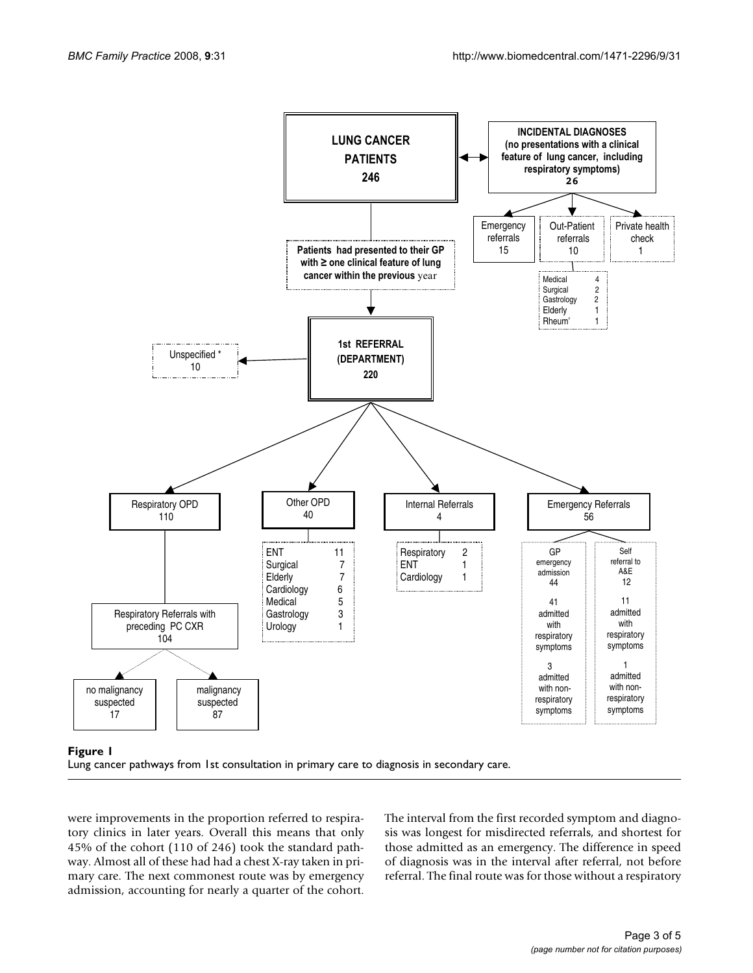

## Lung cancer pathways from 1st **Figure 1** consultation in primary care to diagnosis in secondary care



were improvements in the proportion referred to respiratory clinics in later years. Overall this means that only 45% of the cohort (110 of 246) took the standard pathway. Almost all of these had had a chest X-ray taken in primary care. The next commonest route was by emergency admission, accounting for nearly a quarter of the cohort.

The interval from the first recorded symptom and diagnosis was longest for misdirected referrals, and shortest for those admitted as an emergency. The difference in speed of diagnosis was in the interval after referral, not before referral. The final route was for those without a respiratory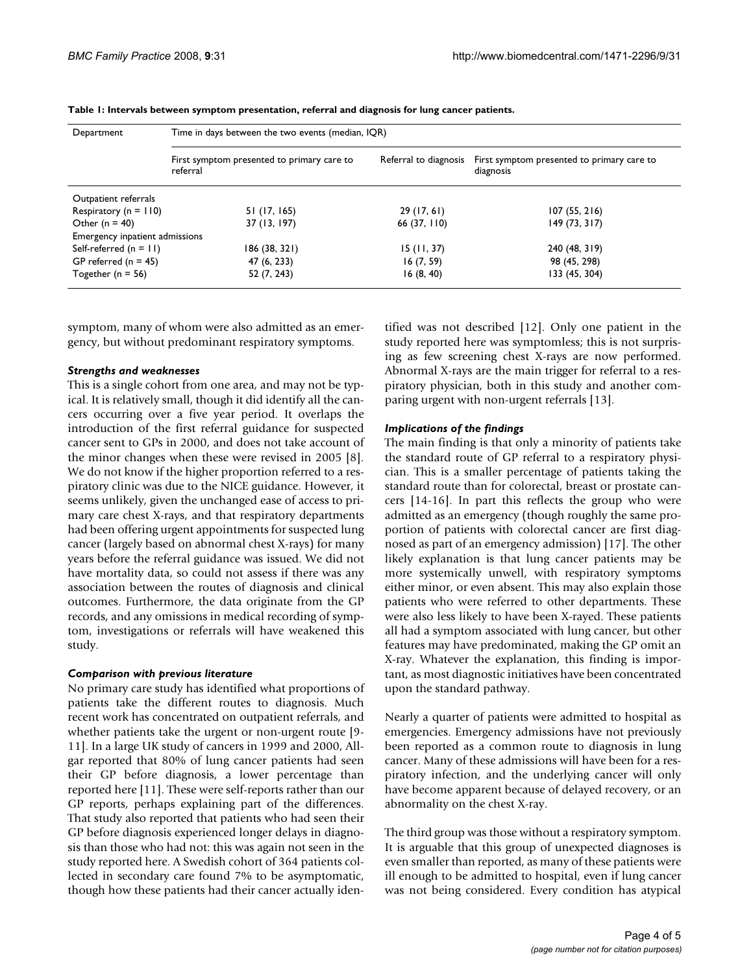| Department                     | Time in days between the two events (median, IQR)      |              |                                                                               |
|--------------------------------|--------------------------------------------------------|--------------|-------------------------------------------------------------------------------|
|                                | First symptom presented to primary care to<br>referral |              | Referral to diagnosis First symptom presented to primary care to<br>diagnosis |
| Outpatient referrals           |                                                        |              |                                                                               |
| Respiratory ( $n = 110$ )      | 51 (17, 165)                                           | 29(17, 61)   | 107(55, 216)                                                                  |
| Other ( $n = 40$ )             | 37 (13, 197)                                           | 66 (37, 110) | 149(73, 317)                                                                  |
| Emergency inpatient admissions |                                                        |              |                                                                               |
| Self-referred $(n = 11)$       | 186 (38, 321)                                          | 15(11, 37)   | 240 (48, 319)                                                                 |
| GP referred $(n = 45)$         | 47 (6, 233)                                            | 16(7, 59)    | 98 (45, 298)                                                                  |
| Together ( $n = 56$ )          | 52 (7, 243)                                            | 16(8, 40)    | 133 (45, 304)                                                                 |

**Table 1: Intervals between symptom presentation, referral and diagnosis for lung cancer patients.**

symptom, many of whom were also admitted as an emergency, but without predominant respiratory symptoms.

#### *Strengths and weaknesses*

This is a single cohort from one area, and may not be typical. It is relatively small, though it did identify all the cancers occurring over a five year period. It overlaps the introduction of the first referral guidance for suspected cancer sent to GPs in 2000, and does not take account of the minor changes when these were revised in 2005 [8]. We do not know if the higher proportion referred to a respiratory clinic was due to the NICE guidance. However, it seems unlikely, given the unchanged ease of access to primary care chest X-rays, and that respiratory departments had been offering urgent appointments for suspected lung cancer (largely based on abnormal chest X-rays) for many years before the referral guidance was issued. We did not have mortality data, so could not assess if there was any association between the routes of diagnosis and clinical outcomes. Furthermore, the data originate from the GP records, and any omissions in medical recording of symptom, investigations or referrals will have weakened this study.

#### *Comparison with previous literature*

No primary care study has identified what proportions of patients take the different routes to diagnosis. Much recent work has concentrated on outpatient referrals, and whether patients take the urgent or non-urgent route [9- 11]. In a large UK study of cancers in 1999 and 2000, Allgar reported that 80% of lung cancer patients had seen their GP before diagnosis, a lower percentage than reported here [11]. These were self-reports rather than our GP reports, perhaps explaining part of the differences. That study also reported that patients who had seen their GP before diagnosis experienced longer delays in diagnosis than those who had not: this was again not seen in the study reported here. A Swedish cohort of 364 patients collected in secondary care found 7% to be asymptomatic, though how these patients had their cancer actually identified was not described [12]. Only one patient in the study reported here was symptomless; this is not surprising as few screening chest X-rays are now performed. Abnormal X-rays are the main trigger for referral to a respiratory physician, both in this study and another comparing urgent with non-urgent referrals [13].

#### *Implications of the findings*

The main finding is that only a minority of patients take the standard route of GP referral to a respiratory physician. This is a smaller percentage of patients taking the standard route than for colorectal, breast or prostate cancers [14-16]. In part this reflects the group who were admitted as an emergency (though roughly the same proportion of patients with colorectal cancer are first diagnosed as part of an emergency admission) [17]. The other likely explanation is that lung cancer patients may be more systemically unwell, with respiratory symptoms either minor, or even absent. This may also explain those patients who were referred to other departments. These were also less likely to have been X-rayed. These patients all had a symptom associated with lung cancer, but other features may have predominated, making the GP omit an X-ray. Whatever the explanation, this finding is important, as most diagnostic initiatives have been concentrated upon the standard pathway.

Nearly a quarter of patients were admitted to hospital as emergencies. Emergency admissions have not previously been reported as a common route to diagnosis in lung cancer. Many of these admissions will have been for a respiratory infection, and the underlying cancer will only have become apparent because of delayed recovery, or an abnormality on the chest X-ray.

The third group was those without a respiratory symptom. It is arguable that this group of unexpected diagnoses is even smaller than reported, as many of these patients were ill enough to be admitted to hospital, even if lung cancer was not being considered. Every condition has atypical